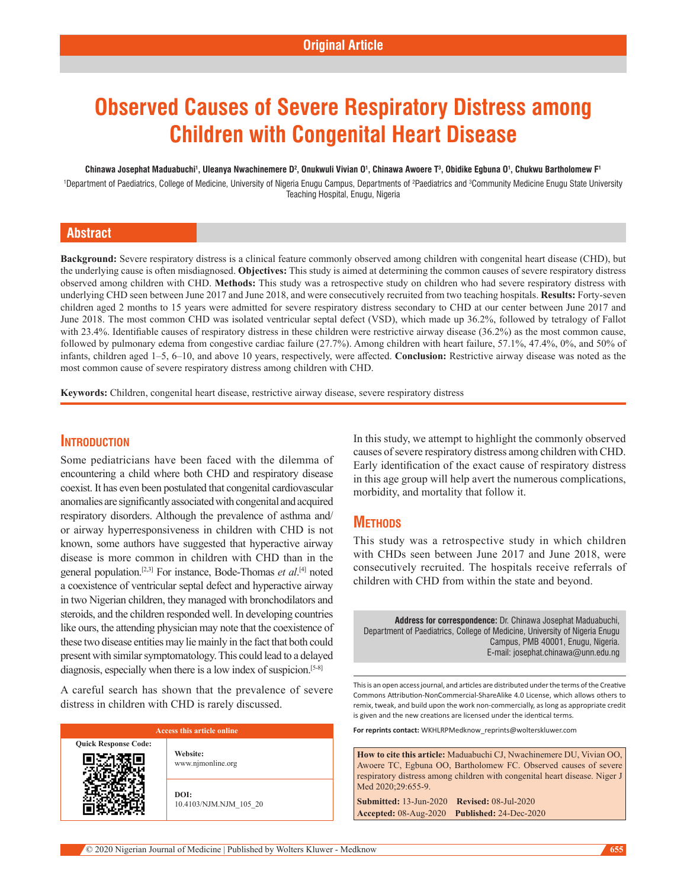# **Observed Causes of Severe Respiratory Distress among Children with Congenital Heart Disease**

#### Chinawa Josephat Maduabuchi<sup>1</sup>, Uleanya Nwachinemere D<sup>2</sup>, Onukwuli Vivian O<sup>1</sup>, Chinawa Awoere T<sup>3</sup>, Obidike Egbuna O<sup>1</sup>, Chukwu Bartholomew F<sup>1</sup>

<sup>1</sup>Department of Paediatrics, College of Medicine, University of Nigeria Enugu Campus, Departments of <sup>2</sup>Paediatrics and <sup>3</sup>Community Medicine Enugu State University Teaching Hospital, Enugu, Nigeria

# **Abstract**

**Background:** Severe respiratory distress is a clinical feature commonly observed among children with congenital heart disease (CHD), but the underlying cause is often misdiagnosed. **Objectives:** This study is aimed at determining the common causes of severe respiratory distress observed among children with CHD. **Methods:** This study was a retrospective study on children who had severe respiratory distress with underlying CHD seen between June 2017 and June 2018, and were consecutively recruited from two teaching hospitals. **Results:** Forty‑seven children aged 2 months to 15 years were admitted for severe respiratory distress secondary to CHD at our center between June 2017 and June 2018. The most common CHD was isolated ventricular septal defect (VSD), which made up 36.2%, followed by tetralogy of Fallot with 23.4%. Identifiable causes of respiratory distress in these children were restrictive airway disease (36.2%) as the most common cause, followed by pulmonary edema from congestive cardiac failure (27.7%). Among children with heart failure, 57.1%, 47.4%, 0%, and 50% of infants, children aged 1–5, 6–10, and above 10 years, respectively, were affected. **Conclusion:** Restrictive airway disease was noted as the most common cause of severe respiratory distress among children with CHD.

**Keywords:** Children, congenital heart disease, restrictive airway disease, severe respiratory distress

# **Introduction**

Some pediatricians have been faced with the dilemma of encountering a child where both CHD and respiratory disease coexist. It has even been postulated that congenital cardiovascular anomalies are significantly associated with congenital and acquired respiratory disorders. Although the prevalence of asthma and/ or airway hyperresponsiveness in children with CHD is not known, some authors have suggested that hyperactive airway disease is more common in children with CHD than in the general population.[2,3] For instance, Bode‑Thomas *et al*. [4] noted a coexistence of ventricular septal defect and hyperactive airway in two Nigerian children, they managed with bronchodilators and steroids, and the children responded well. In developing countries like ours, the attending physician may note that the coexistence of these two disease entities may lie mainly in the fact that both could present with similar symptomatology. This could lead to a delayed diagnosis, especially when there is a low index of suspicion.<sup>[5-8]</sup>

A careful search has shown that the prevalence of severe distress in children with CHD is rarely discussed.

| <b>Access this article online</b> |                                |  |  |  |  |
|-----------------------------------|--------------------------------|--|--|--|--|
| <b>Quick Response Code:</b>       | Website:<br>www.njmonline.org  |  |  |  |  |
|                                   | DOI:<br>10.4103/NJM.NJM 105 20 |  |  |  |  |

In this study, we attempt to highlight the commonly observed causes of severe respiratory distress among children with CHD. Early identification of the exact cause of respiratory distress in this age group will help avert the numerous complications, morbidity, and mortality that follow it.

# **Methods**

This study was a retrospective study in which children with CHDs seen between June 2017 and June 2018, were consecutively recruited. The hospitals receive referrals of children with CHD from within the state and beyond.

**Address for correspondence:** Dr. Chinawa Josephat Maduabuchi, Department of Paediatrics, College of Medicine, University of Nigeria Enugu Campus, PMB 40001, Enugu, Nigeria. E-mail: josephat.chinawa@unn.edu.ng

This is an open access journal, and articles are distributed under the terms of the Creative Commons Attribution‑NonCommercial‑ShareAlike 4.0 License, which allows others to remix, tweak, and build upon the work non‑commercially, as long as appropriate credit is given and the new creations are licensed under the identical terms.

**For reprints contact:** WKHLRPMedknow\_reprints@wolterskluwer.com

**How to cite this article:** Maduabuchi CJ, Nwachinemere DU, Vivian OO, Awoere TC, Egbuna OO, Bartholomew FC. Observed causes of severe respiratory distress among children with congenital heart disease. Niger J Med 2020;29:655-9.

**Submitted:** 13-Jun-2020 **Revised:** 08-Jul-2020 **Accepted:** 08-Aug-2020 **Published:** 24-Dec-2020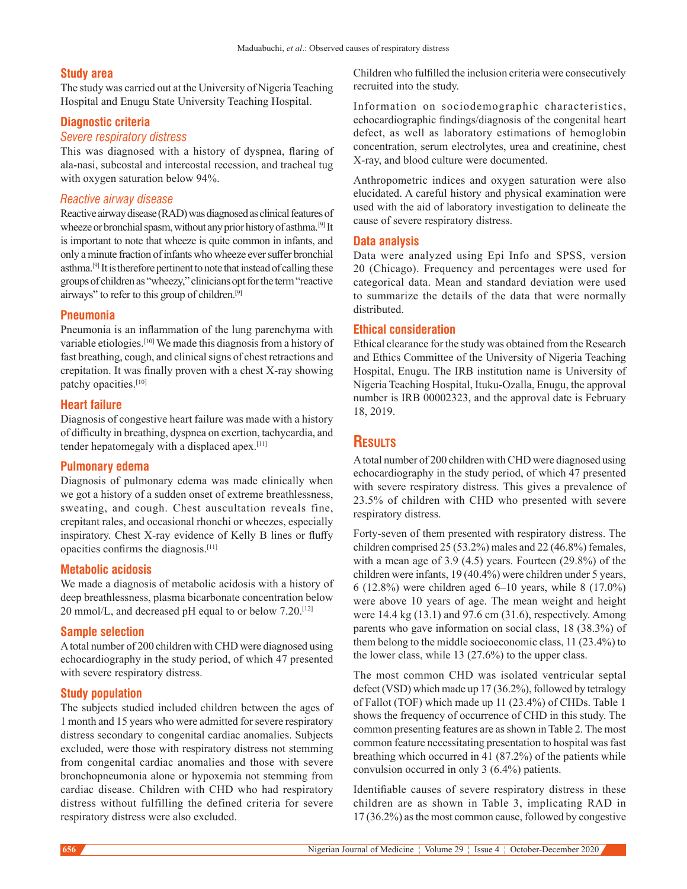#### **Study area**

The study was carried out at the University of Nigeria Teaching Hospital and Enugu State University Teaching Hospital.

#### **Diagnostic criteria**

#### *Severe respiratory distress*

This was diagnosed with a history of dyspnea, flaring of ala-nasi, subcostal and intercostal recession, and tracheal tug with oxygen saturation below 94%.

# *Reactive airway disease*

Reactive airway disease(RAD) was diagnosed as clinical features of wheeze or bronchial spasm, without any prior history of asthma.<sup>[9]</sup> It is important to note that wheeze is quite common in infants, and only a minute fraction of infants who wheeze ever suffer bronchial asthma.[9] It is therefore pertinent to note that instead of calling these groups of children as "wheezy," clinicians opt for the term "reactive airways" to refer to this group of children.[9]

# **Pneumonia**

Pneumonia is an inflammation of the lung parenchyma with variable etiologies.[10] We made this diagnosis from a history of fast breathing, cough, and clinical signs of chest retractions and crepitation. It was finally proven with a chest X‑ray showing patchy opacities.[10]

#### **Heart failure**

Diagnosis of congestive heart failure was made with a history of difficulty in breathing, dyspnea on exertion, tachycardia, and tender hepatomegaly with a displaced apex.[11]

#### **Pulmonary edema**

Diagnosis of pulmonary edema was made clinically when we got a history of a sudden onset of extreme breathlessness, sweating, and cough. Chest auscultation reveals fine, crepitant rales, and occasional rhonchi or wheezes, especially inspiratory. Chest X‑ray evidence of Kelly B lines or fluffy opacities confirms the diagnosis.[11]

#### **Metabolic acidosis**

We made a diagnosis of metabolic acidosis with a history of deep breathlessness, plasma bicarbonate concentration below 20 mmol/L, and decreased pH equal to or below 7.20.[12]

#### **Sample selection**

A total number of 200 children with CHD were diagnosed using echocardiography in the study period, of which 47 presented with severe respiratory distress.

#### **Study population**

The subjects studied included children between the ages of 1 month and 15 years who were admitted for severe respiratory distress secondary to congenital cardiac anomalies. Subjects excluded, were those with respiratory distress not stemming from congenital cardiac anomalies and those with severe bronchopneumonia alone or hypoxemia not stemming from cardiac disease. Children with CHD who had respiratory distress without fulfilling the defined criteria for severe respiratory distress were also excluded.

Children who fulfilled the inclusion criteria were consecutively recruited into the study.

Information on sociodemographic characteristics, echocardiographic findings/diagnosis of the congenital heart defect, as well as laboratory estimations of hemoglobin concentration, serum electrolytes, urea and creatinine, chest X‑ray, and blood culture were documented.

Anthropometric indices and oxygen saturation were also elucidated. A careful history and physical examination were used with the aid of laboratory investigation to delineate the cause of severe respiratory distress.

### **Data analysis**

Data were analyzed using Epi Info and SPSS, version 20 (Chicago). Frequency and percentages were used for categorical data. Mean and standard deviation were used to summarize the details of the data that were normally distributed.

### **Ethical consideration**

Ethical clearance for the study was obtained from the Research and Ethics Committee of the University of Nigeria Teaching Hospital, Enugu. The IRB institution name is University of Nigeria Teaching Hospital, Ituku‑Ozalla, Enugu, the approval number is IRB 00002323, and the approval date is February 18, 2019.

# **Results**

A total number of 200 children with CHD were diagnosed using echocardiography in the study period, of which 47 presented with severe respiratory distress. This gives a prevalence of 23.5% of children with CHD who presented with severe respiratory distress.

Forty‑seven of them presented with respiratory distress. The children comprised 25 (53.2%) males and 22 (46.8%) females, with a mean age of 3.9 (4.5) years. Fourteen (29.8%) of the children were infants, 19 (40.4%) were children under 5 years, 6 (12.8%) were children aged 6–10 years, while 8 (17.0%) were above 10 years of age. The mean weight and height were 14.4 kg (13.1) and 97.6 cm (31.6), respectively. Among parents who gave information on social class, 18 (38.3%) of them belong to the middle socioeconomic class, 11 (23.4%) to the lower class, while 13 (27.6%) to the upper class.

The most common CHD was isolated ventricular septal defect(VSD) which made up 17 (36.2%), followed by tetralogy of Fallot (TOF) which made up 11 (23.4%) of CHDs. Table 1 shows the frequency of occurrence of CHD in this study. The common presenting features are as shown in Table 2. The most common feature necessitating presentation to hospital was fast breathing which occurred in 41 (87.2%) of the patients while convulsion occurred in only 3 (6.4%) patients.

Identifiable causes of severe respiratory distress in these children are as shown in Table 3, implicating RAD in 17 (36.2%) as the most common cause, followed by congestive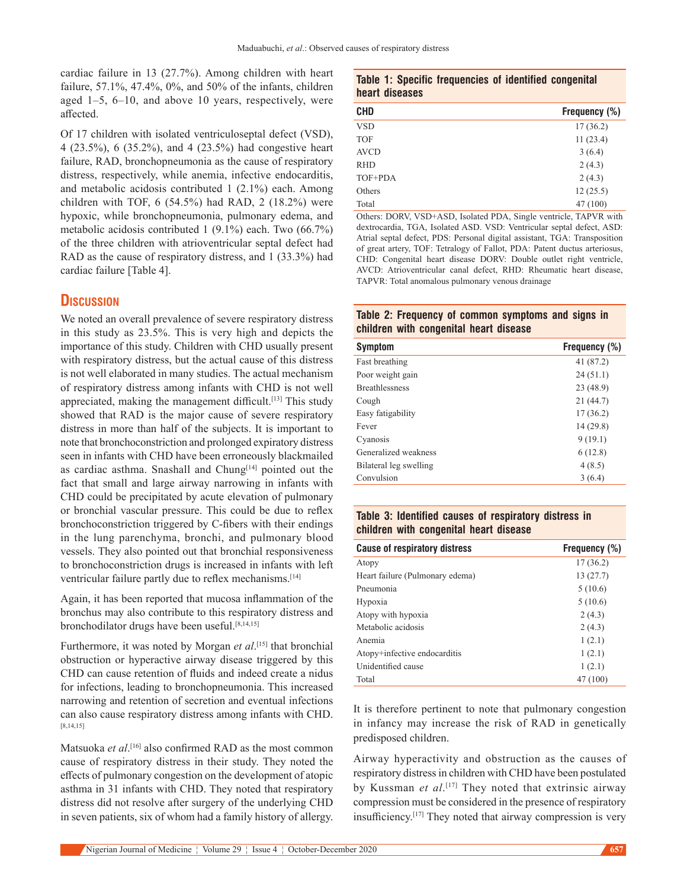cardiac failure in 13 (27.7%). Among children with heart failure, 57.1%, 47.4%, 0%, and 50% of the infants, children aged  $1-5$ ,  $6-10$ , and above 10 years, respectively, were affected.

Of 17 children with isolated ventriculoseptal defect (VSD), 4 (23.5%), 6 (35.2%), and 4 (23.5%) had congestive heart failure, RAD, bronchopneumonia as the cause of respiratory distress, respectively, while anemia, infective endocarditis, and metabolic acidosis contributed 1 (2.1%) each. Among children with TOF, 6 (54.5%) had RAD, 2 (18.2%) were hypoxic, while bronchopneumonia, pulmonary edema, and metabolic acidosis contributed 1 (9.1%) each. Two (66.7%) of the three children with atrioventricular septal defect had RAD as the cause of respiratory distress, and 1 (33.3%) had cardiac failure [Table 4].

# **Discussion**

We noted an overall prevalence of severe respiratory distress in this study as 23.5%. This is very high and depicts the importance of this study. Children with CHD usually present with respiratory distress, but the actual cause of this distress is not well elaborated in many studies. The actual mechanism of respiratory distress among infants with CHD is not well appreciated, making the management difficult.<sup>[13]</sup> This study showed that RAD is the major cause of severe respiratory distress in more than half of the subjects. It is important to note that bronchoconstriction and prolonged expiratory distress seen in infants with CHD have been erroneously blackmailed as cardiac asthma. Snashall and Chung<sup>[14]</sup> pointed out the fact that small and large airway narrowing in infants with CHD could be precipitated by acute elevation of pulmonary or bronchial vascular pressure. This could be due to reflex bronchoconstriction triggered by C‑fibers with their endings in the lung parenchyma, bronchi, and pulmonary blood vessels. They also pointed out that bronchial responsiveness to bronchoconstriction drugs is increased in infants with left ventricular failure partly due to reflex mechanisms.<sup>[14]</sup>

Again, it has been reported that mucosa inflammation of the bronchus may also contribute to this respiratory distress and bronchodilator drugs have been useful.[8,14,15]

Furthermore, it was noted by Morgan *et al*. [15] that bronchial obstruction or hyperactive airway disease triggered by this CHD can cause retention of fluids and indeed create a nidus for infections, leading to bronchopneumonia. This increased narrowing and retention of secretion and eventual infections can also cause respiratory distress among infants with CHD. [8,14,15]

Matsuoka *et al*. [16] also confirmed RAD as the most common cause of respiratory distress in their study. They noted the effects of pulmonary congestion on the development of atopic asthma in 31 infants with CHD. They noted that respiratory distress did not resolve after surgery of the underlying CHD in seven patients, six of whom had a family history of allergy.

|  |                | Table 1: Specific frequencies of identified congenital |  |  |
|--|----------------|--------------------------------------------------------|--|--|
|  | heart diseases |                                                        |  |  |

| <b>CHD</b>  | Frequency (%) |
|-------------|---------------|
| <b>VSD</b>  | 17(36.2)      |
| <b>TOF</b>  | 11(23.4)      |
| <b>AVCD</b> | 3(6.4)        |
| <b>RHD</b>  | 2(4.3)        |
| TOF+PDA     | 2(4.3)        |
| Others      | 12(25.5)      |
| Total       | 47 (100)      |

Others: DORV, VSD+ASD, Isolated PDA, Single ventricle, TAPVR with dextrocardia, TGA, Isolated ASD. VSD: Ventricular septal defect, ASD: Atrial septal defect, PDS: Personal digital assistant, TGA: Transposition of great artery, TOF: Tetralogy of Fallot, PDA: Patent ductus arteriosus, CHD: Congenital heart disease DORV: Double outlet right ventricle, AVCD: Atrioventricular canal defect, RHD: Rheumatic heart disease, TAPVR: Total anomalous pulmonary venous drainage

## **Table 2: Frequency of common symptoms and signs in children with congenital heart disease**

| <b>Symptom</b>         | Frequency (%) |  |  |  |
|------------------------|---------------|--|--|--|
| Fast breathing         | 41 (87.2)     |  |  |  |
| Poor weight gain       | 24(51.1)      |  |  |  |
| <b>Breathlessness</b>  | 23 (48.9)     |  |  |  |
| Cough                  | 21 (44.7)     |  |  |  |
| Easy fatigability      | 17(36.2)      |  |  |  |
| Fever                  | 14 (29.8)     |  |  |  |
| Cyanosis               | 9(19.1)       |  |  |  |
| Generalized weakness   | 6(12.8)       |  |  |  |
| Bilateral leg swelling | 4(8.5)        |  |  |  |
| Convulsion             | 3(6.4)        |  |  |  |

# **Table 3: Identified causes of respiratory distress in children with congenital heart disease**

| <b>Cause of respiratory distress</b> | Frequency (%) |
|--------------------------------------|---------------|
| Atopy                                | 17(36.2)      |
| Heart failure (Pulmonary edema)      | 13(27.7)      |
| Pneumonia                            | 5(10.6)       |
| Hypoxia                              | 5(10.6)       |
| Atopy with hypoxia                   | 2(4.3)        |
| Metabolic acidosis                   | 2(4.3)        |
| Anemia                               | 1(2.1)        |
| Atopy+infective endocarditis         | 1(2.1)        |
| Unidentified cause                   | 1(2.1)        |
| Total                                | 47 (100)      |

It is therefore pertinent to note that pulmonary congestion in infancy may increase the risk of RAD in genetically predisposed children.

Airway hyperactivity and obstruction as the causes of respiratory distress in children with CHD have been postulated by Kussman *et al*. [17] They noted that extrinsic airway compression must be considered in the presence of respiratory insufficiency.[17] They noted that airway compression is very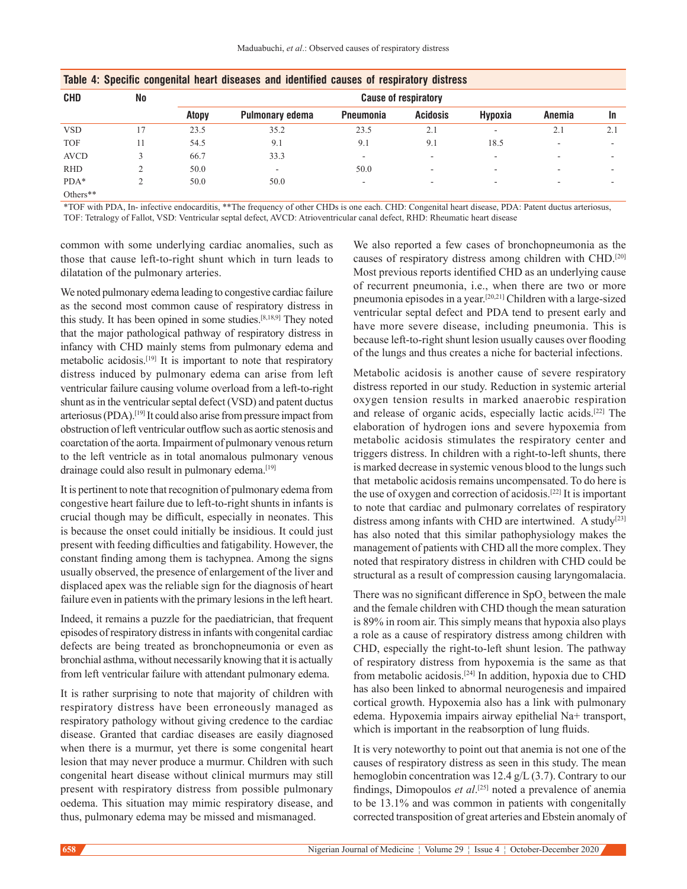| . .         | $\tilde{\phantom{a}}$ |                             |                          | . .       |                 |                          |                          |     |  |
|-------------|-----------------------|-----------------------------|--------------------------|-----------|-----------------|--------------------------|--------------------------|-----|--|
| <b>CHD</b>  | <b>No</b>             | <b>Cause of respiratory</b> |                          |           |                 |                          |                          |     |  |
|             |                       | <b>Atopy</b>                | Pulmonary edema          | Pneumonia | <b>Acidosis</b> | Hypoxia                  | Anemia                   | 1n  |  |
| <b>VSD</b>  | 17                    | 23.5                        | 35.2                     | 23.5      | 2.1             | $\overline{\phantom{a}}$ | 2.1                      | 2.1 |  |
| <b>TOF</b>  | 11                    | 54.5                        | 9.1                      | 9.1       | 9.1             | 18.5                     | $\overline{\phantom{a}}$ | -   |  |
| <b>AVCD</b> |                       | 66.7                        | 33.3                     |           |                 | $\overline{\phantom{a}}$ |                          |     |  |
| <b>RHD</b>  |                       | 50.0                        | $\overline{\phantom{a}}$ | 50.0      | -               | $\overline{\phantom{a}}$ | $\overline{\phantom{a}}$ | -   |  |
| $PDA*$      | ◠                     | 50.0                        | 50.0                     | ۰         | -               | $\overline{\phantom{a}}$ | ٠                        |     |  |
| Others**    |                       |                             |                          |           |                 |                          |                          |     |  |

|  |  |  |  | Table 4: Specific congenital heart diseases and identified causes of respiratory distress |  |  |  |
|--|--|--|--|-------------------------------------------------------------------------------------------|--|--|--|
|--|--|--|--|-------------------------------------------------------------------------------------------|--|--|--|

\*TOF with PDA, In- infective endocarditis, \*\*The frequency of other CHDs is one each. CHD: Congenital heart disease, PDA: Patent ductus arteriosus, TOF: Tetralogy of Fallot, VSD: Ventricular septal defect, AVCD: Atrioventricular canal defect, RHD: Rheumatic heart disease

common with some underlying cardiac anomalies, such as those that cause left-to-right shunt which in turn leads to dilatation of the pulmonary arteries.

We noted pulmonary edema leading to congestive cardiac failure as the second most common cause of respiratory distress in this study. It has been opined in some studies.[8,18,9] They noted that the major pathological pathway of respiratory distress in infancy with CHD mainly stems from pulmonary edema and metabolic acidosis.[19] It is important to note that respiratory distress induced by pulmonary edema can arise from left ventricular failure causing volume overload from a left-to-right shunt as in the ventricular septal defect (VSD) and patent ductus arteriosus(PDA).[19] It could also arise from pressure impact from obstruction of left ventricular outflow such as aortic stenosis and coarctation of the aorta. Impairment of pulmonary venous return to the left ventricle as in total anomalous pulmonary venous drainage could also result in pulmonary edema.<sup>[19]</sup>

It is pertinent to note that recognition of pulmonary edema from congestive heart failure due to left-to-right shunts in infants is crucial though may be difficult, especially in neonates. This is because the onset could initially be insidious. It could just present with feeding difficulties and fatigability. However, the constant finding among them is tachypnea. Among the signs usually observed, the presence of enlargement of the liver and displaced apex was the reliable sign for the diagnosis of heart failure even in patients with the primary lesions in the left heart.

Indeed, it remains a puzzle for the paediatrician, that frequent episodes of respiratory distress in infants with congenital cardiac defects are being treated as bronchopneumonia or even as bronchial asthma, without necessarily knowing that it is actually from left ventricular failure with attendant pulmonary edema.

It is rather surprising to note that majority of children with respiratory distress have been erroneously managed as respiratory pathology without giving credence to the cardiac disease. Granted that cardiac diseases are easily diagnosed when there is a murmur, yet there is some congenital heart lesion that may never produce a murmur. Children with such congenital heart disease without clinical murmurs may still present with respiratory distress from possible pulmonary oedema. This situation may mimic respiratory disease, and thus, pulmonary edema may be missed and mismanaged.

We also reported a few cases of bronchopneumonia as the causes of respiratory distress among children with CHD.[20] Most previous reports identified CHD as an underlying cause of recurrent pneumonia, i.e., when there are two or more pneumonia episodes in a year.[20,21] Children with a large-sized ventricular septal defect and PDA tend to present early and have more severe disease, including pneumonia. This is because left-to-right shunt lesion usually causes over flooding of the lungs and thus creates a niche for bacterial infections.

Metabolic acidosis is another cause of severe respiratory distress reported in our study. Reduction in systemic arterial oxygen tension results in marked anaerobic respiration and release of organic acids, especially lactic acids.[22] The elaboration of hydrogen ions and severe hypoxemia from metabolic acidosis stimulates the respiratory center and triggers distress. In children with a right-to-left shunts, there is marked decrease in systemic venous blood to the lungs such that metabolic acidosis remains uncompensated. To do here is the use of oxygen and correction of acidosis.[22] It is important to note that cardiac and pulmonary correlates of respiratory distress among infants with CHD are intertwined. A study<sup>[23]</sup> has also noted that this similar pathophysiology makes the management of patients with CHD all the more complex. They noted that respiratory distress in children with CHD could be structural as a result of compression causing laryngomalacia.

There was no significant difference in  $SpO<sub>2</sub>$  between the male and the female children with CHD though the mean saturation is 89% in room air. This simply means that hypoxia also plays a role as a cause of respiratory distress among children with CHD, especially the right-to-left shunt lesion. The pathway of respiratory distress from hypoxemia is the same as that from metabolic acidosis.[24] In addition, hypoxia due to CHD has also been linked to abnormal neurogenesis and impaired cortical growth. Hypoxemia also has a link with pulmonary edema.  Hypoxemia impairs airway epithelial Na+ transport, which is important in the reabsorption of lung fluids.

It is very noteworthy to point out that anemia is not one of the causes of respiratory distress as seen in this study. The mean hemoglobin concentration was 12.4 g/L (3.7). Contrary to our findings, Dimopoulos *et al*. [25] noted a prevalence of anemia to be 13.1% and was common in patients with congenitally corrected transposition of great arteries and Ebstein anomaly of